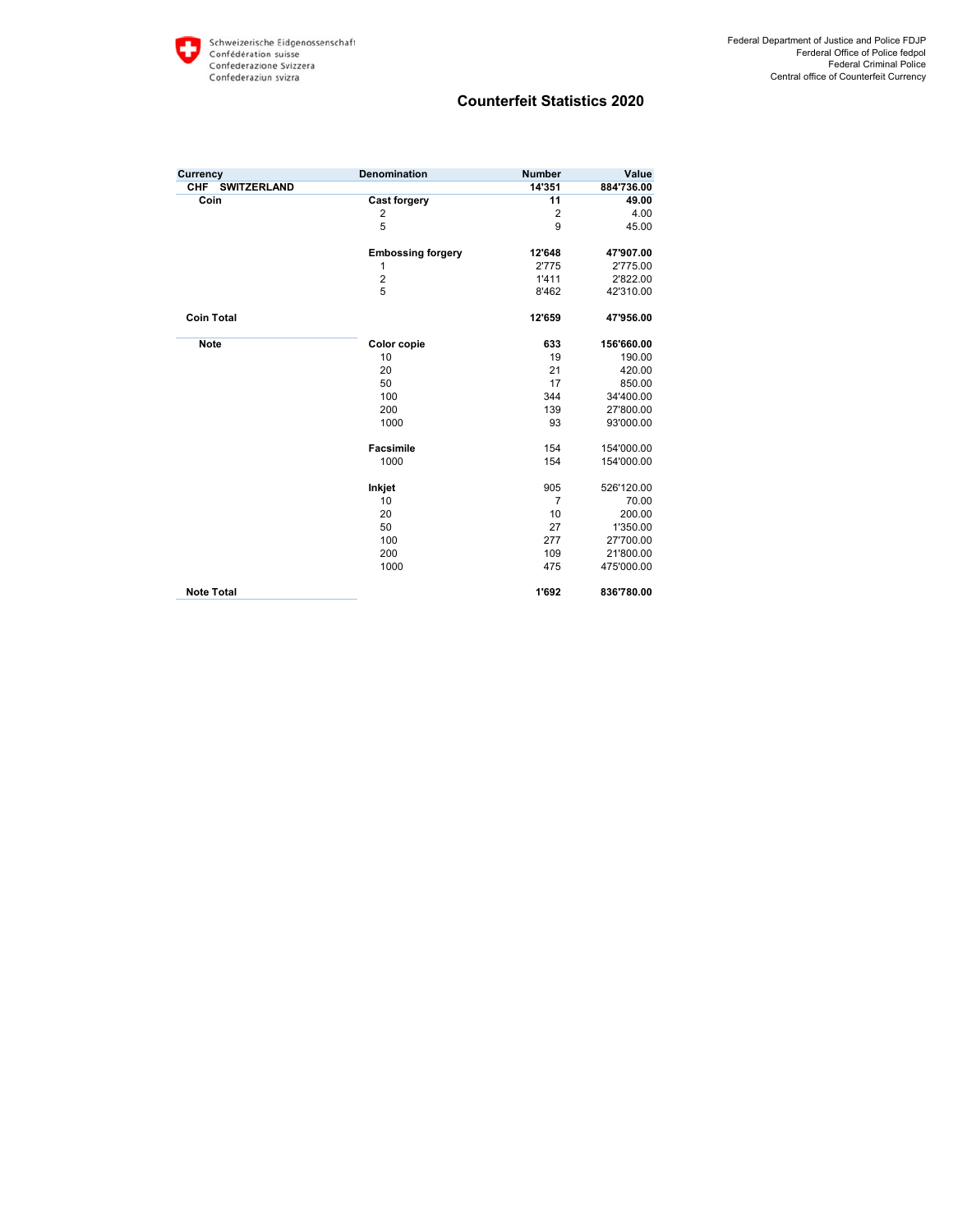| Currency                         | Denomination             | <b>Number</b>  | Value      |
|----------------------------------|--------------------------|----------------|------------|
| <b>CHF</b><br><b>SWITZERLAND</b> |                          | 14'351         | 884'736.00 |
| Coin                             | <b>Cast forgery</b>      | 11             | 49.00      |
|                                  | $\overline{2}$           | $\overline{2}$ | 4.00       |
|                                  | 5                        | 9              | 45.00      |
|                                  | <b>Embossing forgery</b> | 12'648         | 47'907.00  |
|                                  | 1                        | 2'775          | 2'775.00   |
|                                  | $\overline{2}$           | 1'411          | 2'822.00   |
|                                  | 5                        | 8'462          | 42'310.00  |
| <b>Coin Total</b>                |                          | 12'659         | 47'956.00  |
| <b>Note</b>                      | <b>Color copie</b>       | 633            | 156'660.00 |
|                                  | 10                       | 19             | 190.00     |
|                                  | 20                       | 21             | 420.00     |
|                                  | 50                       | 17             | 850.00     |
|                                  | 100                      | 344            | 34'400.00  |
|                                  | 200                      | 139            | 27'800.00  |
|                                  | 1000                     | 93             | 93'000.00  |
|                                  | <b>Facsimile</b>         | 154            | 154'000.00 |
|                                  | 1000                     | 154            | 154'000.00 |
|                                  | Inkjet                   | 905            | 526'120.00 |
|                                  | 10                       | $\overline{7}$ | 70.00      |
|                                  | 20                       | 10             | 200.00     |
|                                  | 50                       | 27             | 1'350.00   |
|                                  | 100                      | 277            | 27'700.00  |
|                                  | 200                      | 109            | 21'800.00  |
|                                  | 1000                     | 475            | 475'000.00 |
| <b>Note Total</b>                |                          | 1'692          | 836'780.00 |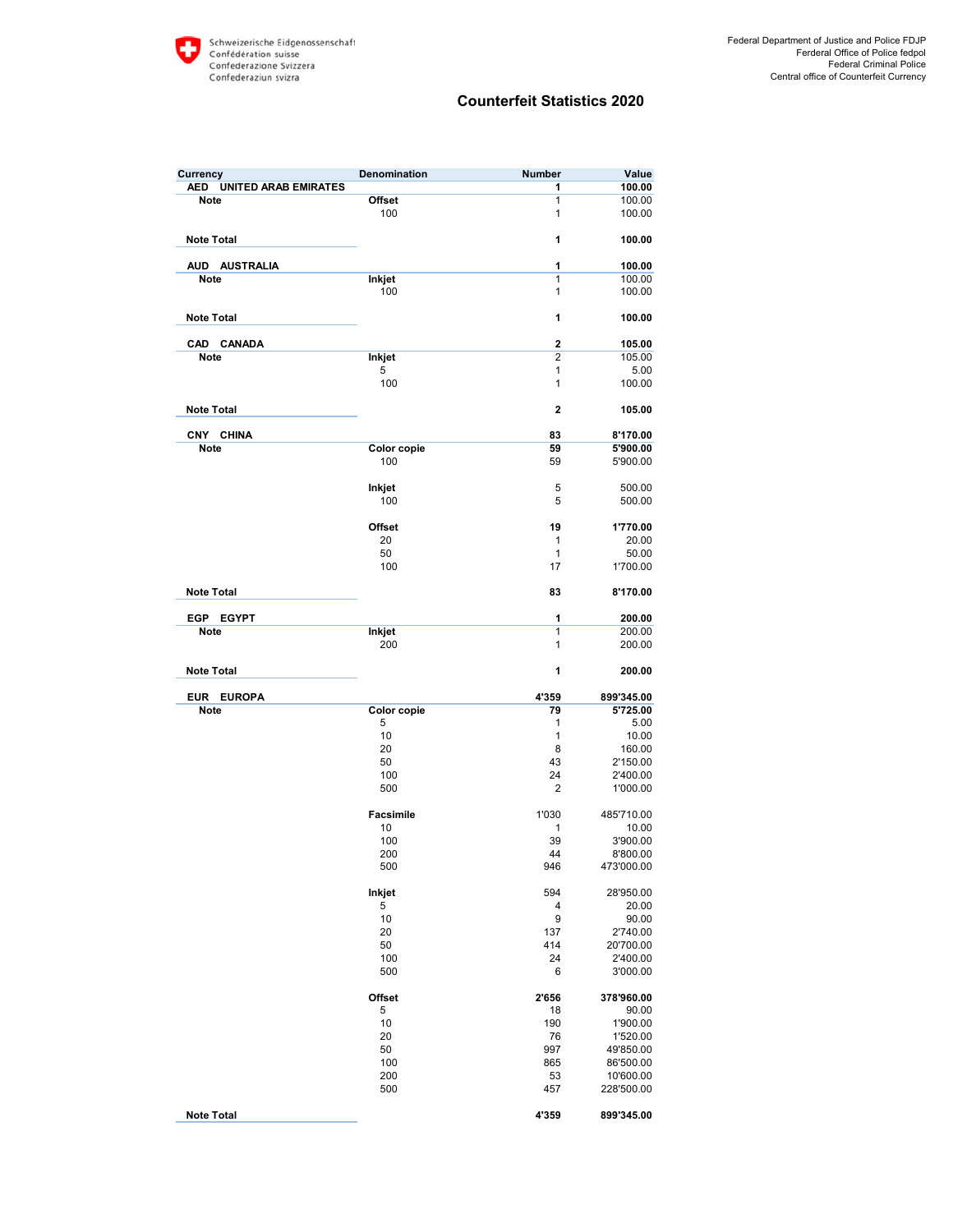| <b>AED</b><br><b>UNITED ARAB EMIRATES</b><br>1<br>100.00<br>1<br><b>Note</b><br>Offset<br>100.00<br>$\mathbf{1}$<br>100<br>100.00<br>1<br><b>Note Total</b><br>100.00<br><b>AUD</b><br><b>AUSTRALIA</b><br>1<br>100.00<br><b>Inkjet</b><br>$\mathbf{1}$<br>100.00<br><b>Note</b><br>$\mathbf{1}$<br>100<br>100.00<br>1<br><b>Note Total</b><br>100.00<br>$\overline{2}$<br><b>CANADA</b><br><b>CAD</b><br>105.00<br><b>Note</b><br>$\overline{2}$<br>105.00<br>Inkjet<br>5<br>1<br>5.00<br>100<br>$\mathbf{1}$<br>100.00<br>$\overline{2}$<br><b>Note Total</b><br>105.00<br>CNY CHINA<br>83<br>8'170.00<br><b>Note</b><br><b>Color copie</b><br>59<br>5'900.00<br>100<br>59<br>5'900.00<br>Inkjet<br>5<br>500.00<br>5<br>100<br>500.00<br><b>Offset</b><br>19<br>1'770.00<br>20<br>$\mathbf{1}$<br>20.00<br>50<br>$\mathbf{1}$<br>50.00<br>100<br>17<br>1'700.00<br><b>Note Total</b><br>83<br>8'170.00<br>EGP<br><b>EGYPT</b><br>1<br>200.00<br>$\overline{1}$<br><b>Note</b><br>Inkjet<br>200.00<br>1<br>200<br>200.00<br>1<br><b>Note Total</b><br>200.00<br><b>EUROPA</b><br>4'359<br>899'345.00<br><b>EUR</b><br><b>Note</b><br><b>Color copie</b><br>79<br>5'725.00<br>5<br>1<br>5.00<br>10<br>$\mathbf{1}$<br>10.00<br>20<br>8<br>160.00<br>50<br>43<br>2'150.00<br>24<br>100<br>2'400.00<br>500<br>$\overline{2}$<br>1'000.00<br><b>Facsimile</b><br>1'030<br>485'710.00<br>10<br>1<br>10.00<br>39<br>100<br>3'900.00<br>200<br>44<br>8'800.00<br>500<br>946<br>473'000.00<br>Inkjet<br>594<br>28'950.00<br>5<br>4<br>20.00<br>10<br>9<br>90.00<br>20<br>137<br>2'740.00<br>50<br>414<br>20'700.00<br>100<br>24<br>2'400.00<br>6<br>500<br>3'000.00<br><b>Offset</b><br>2'656<br>378'960.00<br>5<br>18<br>90.00<br>10<br>190<br>1'900.00<br>20<br>76<br>1'520.00<br>50<br>997<br>49'850.00<br>100<br>865<br>86'500.00<br>200<br>53<br>10'600.00<br>457<br>500<br>228'500.00<br><b>Note Total</b><br>4'359<br>899'345.00 | Currency | Denomination | Number | Value |
|----------------------------------------------------------------------------------------------------------------------------------------------------------------------------------------------------------------------------------------------------------------------------------------------------------------------------------------------------------------------------------------------------------------------------------------------------------------------------------------------------------------------------------------------------------------------------------------------------------------------------------------------------------------------------------------------------------------------------------------------------------------------------------------------------------------------------------------------------------------------------------------------------------------------------------------------------------------------------------------------------------------------------------------------------------------------------------------------------------------------------------------------------------------------------------------------------------------------------------------------------------------------------------------------------------------------------------------------------------------------------------------------------------------------------------------------------------------------------------------------------------------------------------------------------------------------------------------------------------------------------------------------------------------------------------------------------------------------------------------------------------------------------------------------------------------------------------------------------------------------------------------------------------------------------------|----------|--------------|--------|-------|
|                                                                                                                                                                                                                                                                                                                                                                                                                                                                                                                                                                                                                                                                                                                                                                                                                                                                                                                                                                                                                                                                                                                                                                                                                                                                                                                                                                                                                                                                                                                                                                                                                                                                                                                                                                                                                                                                                                                                  |          |              |        |       |
|                                                                                                                                                                                                                                                                                                                                                                                                                                                                                                                                                                                                                                                                                                                                                                                                                                                                                                                                                                                                                                                                                                                                                                                                                                                                                                                                                                                                                                                                                                                                                                                                                                                                                                                                                                                                                                                                                                                                  |          |              |        |       |
|                                                                                                                                                                                                                                                                                                                                                                                                                                                                                                                                                                                                                                                                                                                                                                                                                                                                                                                                                                                                                                                                                                                                                                                                                                                                                                                                                                                                                                                                                                                                                                                                                                                                                                                                                                                                                                                                                                                                  |          |              |        |       |
|                                                                                                                                                                                                                                                                                                                                                                                                                                                                                                                                                                                                                                                                                                                                                                                                                                                                                                                                                                                                                                                                                                                                                                                                                                                                                                                                                                                                                                                                                                                                                                                                                                                                                                                                                                                                                                                                                                                                  |          |              |        |       |
|                                                                                                                                                                                                                                                                                                                                                                                                                                                                                                                                                                                                                                                                                                                                                                                                                                                                                                                                                                                                                                                                                                                                                                                                                                                                                                                                                                                                                                                                                                                                                                                                                                                                                                                                                                                                                                                                                                                                  |          |              |        |       |
|                                                                                                                                                                                                                                                                                                                                                                                                                                                                                                                                                                                                                                                                                                                                                                                                                                                                                                                                                                                                                                                                                                                                                                                                                                                                                                                                                                                                                                                                                                                                                                                                                                                                                                                                                                                                                                                                                                                                  |          |              |        |       |
|                                                                                                                                                                                                                                                                                                                                                                                                                                                                                                                                                                                                                                                                                                                                                                                                                                                                                                                                                                                                                                                                                                                                                                                                                                                                                                                                                                                                                                                                                                                                                                                                                                                                                                                                                                                                                                                                                                                                  |          |              |        |       |
|                                                                                                                                                                                                                                                                                                                                                                                                                                                                                                                                                                                                                                                                                                                                                                                                                                                                                                                                                                                                                                                                                                                                                                                                                                                                                                                                                                                                                                                                                                                                                                                                                                                                                                                                                                                                                                                                                                                                  |          |              |        |       |
|                                                                                                                                                                                                                                                                                                                                                                                                                                                                                                                                                                                                                                                                                                                                                                                                                                                                                                                                                                                                                                                                                                                                                                                                                                                                                                                                                                                                                                                                                                                                                                                                                                                                                                                                                                                                                                                                                                                                  |          |              |        |       |
|                                                                                                                                                                                                                                                                                                                                                                                                                                                                                                                                                                                                                                                                                                                                                                                                                                                                                                                                                                                                                                                                                                                                                                                                                                                                                                                                                                                                                                                                                                                                                                                                                                                                                                                                                                                                                                                                                                                                  |          |              |        |       |
|                                                                                                                                                                                                                                                                                                                                                                                                                                                                                                                                                                                                                                                                                                                                                                                                                                                                                                                                                                                                                                                                                                                                                                                                                                                                                                                                                                                                                                                                                                                                                                                                                                                                                                                                                                                                                                                                                                                                  |          |              |        |       |
|                                                                                                                                                                                                                                                                                                                                                                                                                                                                                                                                                                                                                                                                                                                                                                                                                                                                                                                                                                                                                                                                                                                                                                                                                                                                                                                                                                                                                                                                                                                                                                                                                                                                                                                                                                                                                                                                                                                                  |          |              |        |       |
|                                                                                                                                                                                                                                                                                                                                                                                                                                                                                                                                                                                                                                                                                                                                                                                                                                                                                                                                                                                                                                                                                                                                                                                                                                                                                                                                                                                                                                                                                                                                                                                                                                                                                                                                                                                                                                                                                                                                  |          |              |        |       |
|                                                                                                                                                                                                                                                                                                                                                                                                                                                                                                                                                                                                                                                                                                                                                                                                                                                                                                                                                                                                                                                                                                                                                                                                                                                                                                                                                                                                                                                                                                                                                                                                                                                                                                                                                                                                                                                                                                                                  |          |              |        |       |
|                                                                                                                                                                                                                                                                                                                                                                                                                                                                                                                                                                                                                                                                                                                                                                                                                                                                                                                                                                                                                                                                                                                                                                                                                                                                                                                                                                                                                                                                                                                                                                                                                                                                                                                                                                                                                                                                                                                                  |          |              |        |       |
|                                                                                                                                                                                                                                                                                                                                                                                                                                                                                                                                                                                                                                                                                                                                                                                                                                                                                                                                                                                                                                                                                                                                                                                                                                                                                                                                                                                                                                                                                                                                                                                                                                                                                                                                                                                                                                                                                                                                  |          |              |        |       |
|                                                                                                                                                                                                                                                                                                                                                                                                                                                                                                                                                                                                                                                                                                                                                                                                                                                                                                                                                                                                                                                                                                                                                                                                                                                                                                                                                                                                                                                                                                                                                                                                                                                                                                                                                                                                                                                                                                                                  |          |              |        |       |
|                                                                                                                                                                                                                                                                                                                                                                                                                                                                                                                                                                                                                                                                                                                                                                                                                                                                                                                                                                                                                                                                                                                                                                                                                                                                                                                                                                                                                                                                                                                                                                                                                                                                                                                                                                                                                                                                                                                                  |          |              |        |       |
|                                                                                                                                                                                                                                                                                                                                                                                                                                                                                                                                                                                                                                                                                                                                                                                                                                                                                                                                                                                                                                                                                                                                                                                                                                                                                                                                                                                                                                                                                                                                                                                                                                                                                                                                                                                                                                                                                                                                  |          |              |        |       |
|                                                                                                                                                                                                                                                                                                                                                                                                                                                                                                                                                                                                                                                                                                                                                                                                                                                                                                                                                                                                                                                                                                                                                                                                                                                                                                                                                                                                                                                                                                                                                                                                                                                                                                                                                                                                                                                                                                                                  |          |              |        |       |
|                                                                                                                                                                                                                                                                                                                                                                                                                                                                                                                                                                                                                                                                                                                                                                                                                                                                                                                                                                                                                                                                                                                                                                                                                                                                                                                                                                                                                                                                                                                                                                                                                                                                                                                                                                                                                                                                                                                                  |          |              |        |       |
|                                                                                                                                                                                                                                                                                                                                                                                                                                                                                                                                                                                                                                                                                                                                                                                                                                                                                                                                                                                                                                                                                                                                                                                                                                                                                                                                                                                                                                                                                                                                                                                                                                                                                                                                                                                                                                                                                                                                  |          |              |        |       |
|                                                                                                                                                                                                                                                                                                                                                                                                                                                                                                                                                                                                                                                                                                                                                                                                                                                                                                                                                                                                                                                                                                                                                                                                                                                                                                                                                                                                                                                                                                                                                                                                                                                                                                                                                                                                                                                                                                                                  |          |              |        |       |
|                                                                                                                                                                                                                                                                                                                                                                                                                                                                                                                                                                                                                                                                                                                                                                                                                                                                                                                                                                                                                                                                                                                                                                                                                                                                                                                                                                                                                                                                                                                                                                                                                                                                                                                                                                                                                                                                                                                                  |          |              |        |       |
|                                                                                                                                                                                                                                                                                                                                                                                                                                                                                                                                                                                                                                                                                                                                                                                                                                                                                                                                                                                                                                                                                                                                                                                                                                                                                                                                                                                                                                                                                                                                                                                                                                                                                                                                                                                                                                                                                                                                  |          |              |        |       |
|                                                                                                                                                                                                                                                                                                                                                                                                                                                                                                                                                                                                                                                                                                                                                                                                                                                                                                                                                                                                                                                                                                                                                                                                                                                                                                                                                                                                                                                                                                                                                                                                                                                                                                                                                                                                                                                                                                                                  |          |              |        |       |
|                                                                                                                                                                                                                                                                                                                                                                                                                                                                                                                                                                                                                                                                                                                                                                                                                                                                                                                                                                                                                                                                                                                                                                                                                                                                                                                                                                                                                                                                                                                                                                                                                                                                                                                                                                                                                                                                                                                                  |          |              |        |       |
|                                                                                                                                                                                                                                                                                                                                                                                                                                                                                                                                                                                                                                                                                                                                                                                                                                                                                                                                                                                                                                                                                                                                                                                                                                                                                                                                                                                                                                                                                                                                                                                                                                                                                                                                                                                                                                                                                                                                  |          |              |        |       |
|                                                                                                                                                                                                                                                                                                                                                                                                                                                                                                                                                                                                                                                                                                                                                                                                                                                                                                                                                                                                                                                                                                                                                                                                                                                                                                                                                                                                                                                                                                                                                                                                                                                                                                                                                                                                                                                                                                                                  |          |              |        |       |
|                                                                                                                                                                                                                                                                                                                                                                                                                                                                                                                                                                                                                                                                                                                                                                                                                                                                                                                                                                                                                                                                                                                                                                                                                                                                                                                                                                                                                                                                                                                                                                                                                                                                                                                                                                                                                                                                                                                                  |          |              |        |       |
|                                                                                                                                                                                                                                                                                                                                                                                                                                                                                                                                                                                                                                                                                                                                                                                                                                                                                                                                                                                                                                                                                                                                                                                                                                                                                                                                                                                                                                                                                                                                                                                                                                                                                                                                                                                                                                                                                                                                  |          |              |        |       |
|                                                                                                                                                                                                                                                                                                                                                                                                                                                                                                                                                                                                                                                                                                                                                                                                                                                                                                                                                                                                                                                                                                                                                                                                                                                                                                                                                                                                                                                                                                                                                                                                                                                                                                                                                                                                                                                                                                                                  |          |              |        |       |
|                                                                                                                                                                                                                                                                                                                                                                                                                                                                                                                                                                                                                                                                                                                                                                                                                                                                                                                                                                                                                                                                                                                                                                                                                                                                                                                                                                                                                                                                                                                                                                                                                                                                                                                                                                                                                                                                                                                                  |          |              |        |       |
|                                                                                                                                                                                                                                                                                                                                                                                                                                                                                                                                                                                                                                                                                                                                                                                                                                                                                                                                                                                                                                                                                                                                                                                                                                                                                                                                                                                                                                                                                                                                                                                                                                                                                                                                                                                                                                                                                                                                  |          |              |        |       |
|                                                                                                                                                                                                                                                                                                                                                                                                                                                                                                                                                                                                                                                                                                                                                                                                                                                                                                                                                                                                                                                                                                                                                                                                                                                                                                                                                                                                                                                                                                                                                                                                                                                                                                                                                                                                                                                                                                                                  |          |              |        |       |
|                                                                                                                                                                                                                                                                                                                                                                                                                                                                                                                                                                                                                                                                                                                                                                                                                                                                                                                                                                                                                                                                                                                                                                                                                                                                                                                                                                                                                                                                                                                                                                                                                                                                                                                                                                                                                                                                                                                                  |          |              |        |       |
|                                                                                                                                                                                                                                                                                                                                                                                                                                                                                                                                                                                                                                                                                                                                                                                                                                                                                                                                                                                                                                                                                                                                                                                                                                                                                                                                                                                                                                                                                                                                                                                                                                                                                                                                                                                                                                                                                                                                  |          |              |        |       |
|                                                                                                                                                                                                                                                                                                                                                                                                                                                                                                                                                                                                                                                                                                                                                                                                                                                                                                                                                                                                                                                                                                                                                                                                                                                                                                                                                                                                                                                                                                                                                                                                                                                                                                                                                                                                                                                                                                                                  |          |              |        |       |
|                                                                                                                                                                                                                                                                                                                                                                                                                                                                                                                                                                                                                                                                                                                                                                                                                                                                                                                                                                                                                                                                                                                                                                                                                                                                                                                                                                                                                                                                                                                                                                                                                                                                                                                                                                                                                                                                                                                                  |          |              |        |       |
|                                                                                                                                                                                                                                                                                                                                                                                                                                                                                                                                                                                                                                                                                                                                                                                                                                                                                                                                                                                                                                                                                                                                                                                                                                                                                                                                                                                                                                                                                                                                                                                                                                                                                                                                                                                                                                                                                                                                  |          |              |        |       |
|                                                                                                                                                                                                                                                                                                                                                                                                                                                                                                                                                                                                                                                                                                                                                                                                                                                                                                                                                                                                                                                                                                                                                                                                                                                                                                                                                                                                                                                                                                                                                                                                                                                                                                                                                                                                                                                                                                                                  |          |              |        |       |
|                                                                                                                                                                                                                                                                                                                                                                                                                                                                                                                                                                                                                                                                                                                                                                                                                                                                                                                                                                                                                                                                                                                                                                                                                                                                                                                                                                                                                                                                                                                                                                                                                                                                                                                                                                                                                                                                                                                                  |          |              |        |       |
|                                                                                                                                                                                                                                                                                                                                                                                                                                                                                                                                                                                                                                                                                                                                                                                                                                                                                                                                                                                                                                                                                                                                                                                                                                                                                                                                                                                                                                                                                                                                                                                                                                                                                                                                                                                                                                                                                                                                  |          |              |        |       |
|                                                                                                                                                                                                                                                                                                                                                                                                                                                                                                                                                                                                                                                                                                                                                                                                                                                                                                                                                                                                                                                                                                                                                                                                                                                                                                                                                                                                                                                                                                                                                                                                                                                                                                                                                                                                                                                                                                                                  |          |              |        |       |
|                                                                                                                                                                                                                                                                                                                                                                                                                                                                                                                                                                                                                                                                                                                                                                                                                                                                                                                                                                                                                                                                                                                                                                                                                                                                                                                                                                                                                                                                                                                                                                                                                                                                                                                                                                                                                                                                                                                                  |          |              |        |       |
|                                                                                                                                                                                                                                                                                                                                                                                                                                                                                                                                                                                                                                                                                                                                                                                                                                                                                                                                                                                                                                                                                                                                                                                                                                                                                                                                                                                                                                                                                                                                                                                                                                                                                                                                                                                                                                                                                                                                  |          |              |        |       |
|                                                                                                                                                                                                                                                                                                                                                                                                                                                                                                                                                                                                                                                                                                                                                                                                                                                                                                                                                                                                                                                                                                                                                                                                                                                                                                                                                                                                                                                                                                                                                                                                                                                                                                                                                                                                                                                                                                                                  |          |              |        |       |
|                                                                                                                                                                                                                                                                                                                                                                                                                                                                                                                                                                                                                                                                                                                                                                                                                                                                                                                                                                                                                                                                                                                                                                                                                                                                                                                                                                                                                                                                                                                                                                                                                                                                                                                                                                                                                                                                                                                                  |          |              |        |       |
|                                                                                                                                                                                                                                                                                                                                                                                                                                                                                                                                                                                                                                                                                                                                                                                                                                                                                                                                                                                                                                                                                                                                                                                                                                                                                                                                                                                                                                                                                                                                                                                                                                                                                                                                                                                                                                                                                                                                  |          |              |        |       |
|                                                                                                                                                                                                                                                                                                                                                                                                                                                                                                                                                                                                                                                                                                                                                                                                                                                                                                                                                                                                                                                                                                                                                                                                                                                                                                                                                                                                                                                                                                                                                                                                                                                                                                                                                                                                                                                                                                                                  |          |              |        |       |
|                                                                                                                                                                                                                                                                                                                                                                                                                                                                                                                                                                                                                                                                                                                                                                                                                                                                                                                                                                                                                                                                                                                                                                                                                                                                                                                                                                                                                                                                                                                                                                                                                                                                                                                                                                                                                                                                                                                                  |          |              |        |       |
|                                                                                                                                                                                                                                                                                                                                                                                                                                                                                                                                                                                                                                                                                                                                                                                                                                                                                                                                                                                                                                                                                                                                                                                                                                                                                                                                                                                                                                                                                                                                                                                                                                                                                                                                                                                                                                                                                                                                  |          |              |        |       |
|                                                                                                                                                                                                                                                                                                                                                                                                                                                                                                                                                                                                                                                                                                                                                                                                                                                                                                                                                                                                                                                                                                                                                                                                                                                                                                                                                                                                                                                                                                                                                                                                                                                                                                                                                                                                                                                                                                                                  |          |              |        |       |
|                                                                                                                                                                                                                                                                                                                                                                                                                                                                                                                                                                                                                                                                                                                                                                                                                                                                                                                                                                                                                                                                                                                                                                                                                                                                                                                                                                                                                                                                                                                                                                                                                                                                                                                                                                                                                                                                                                                                  |          |              |        |       |
|                                                                                                                                                                                                                                                                                                                                                                                                                                                                                                                                                                                                                                                                                                                                                                                                                                                                                                                                                                                                                                                                                                                                                                                                                                                                                                                                                                                                                                                                                                                                                                                                                                                                                                                                                                                                                                                                                                                                  |          |              |        |       |
|                                                                                                                                                                                                                                                                                                                                                                                                                                                                                                                                                                                                                                                                                                                                                                                                                                                                                                                                                                                                                                                                                                                                                                                                                                                                                                                                                                                                                                                                                                                                                                                                                                                                                                                                                                                                                                                                                                                                  |          |              |        |       |
|                                                                                                                                                                                                                                                                                                                                                                                                                                                                                                                                                                                                                                                                                                                                                                                                                                                                                                                                                                                                                                                                                                                                                                                                                                                                                                                                                                                                                                                                                                                                                                                                                                                                                                                                                                                                                                                                                                                                  |          |              |        |       |
|                                                                                                                                                                                                                                                                                                                                                                                                                                                                                                                                                                                                                                                                                                                                                                                                                                                                                                                                                                                                                                                                                                                                                                                                                                                                                                                                                                                                                                                                                                                                                                                                                                                                                                                                                                                                                                                                                                                                  |          |              |        |       |
|                                                                                                                                                                                                                                                                                                                                                                                                                                                                                                                                                                                                                                                                                                                                                                                                                                                                                                                                                                                                                                                                                                                                                                                                                                                                                                                                                                                                                                                                                                                                                                                                                                                                                                                                                                                                                                                                                                                                  |          |              |        |       |
|                                                                                                                                                                                                                                                                                                                                                                                                                                                                                                                                                                                                                                                                                                                                                                                                                                                                                                                                                                                                                                                                                                                                                                                                                                                                                                                                                                                                                                                                                                                                                                                                                                                                                                                                                                                                                                                                                                                                  |          |              |        |       |
|                                                                                                                                                                                                                                                                                                                                                                                                                                                                                                                                                                                                                                                                                                                                                                                                                                                                                                                                                                                                                                                                                                                                                                                                                                                                                                                                                                                                                                                                                                                                                                                                                                                                                                                                                                                                                                                                                                                                  |          |              |        |       |
|                                                                                                                                                                                                                                                                                                                                                                                                                                                                                                                                                                                                                                                                                                                                                                                                                                                                                                                                                                                                                                                                                                                                                                                                                                                                                                                                                                                                                                                                                                                                                                                                                                                                                                                                                                                                                                                                                                                                  |          |              |        |       |
|                                                                                                                                                                                                                                                                                                                                                                                                                                                                                                                                                                                                                                                                                                                                                                                                                                                                                                                                                                                                                                                                                                                                                                                                                                                                                                                                                                                                                                                                                                                                                                                                                                                                                                                                                                                                                                                                                                                                  |          |              |        |       |
|                                                                                                                                                                                                                                                                                                                                                                                                                                                                                                                                                                                                                                                                                                                                                                                                                                                                                                                                                                                                                                                                                                                                                                                                                                                                                                                                                                                                                                                                                                                                                                                                                                                                                                                                                                                                                                                                                                                                  |          |              |        |       |
|                                                                                                                                                                                                                                                                                                                                                                                                                                                                                                                                                                                                                                                                                                                                                                                                                                                                                                                                                                                                                                                                                                                                                                                                                                                                                                                                                                                                                                                                                                                                                                                                                                                                                                                                                                                                                                                                                                                                  |          |              |        |       |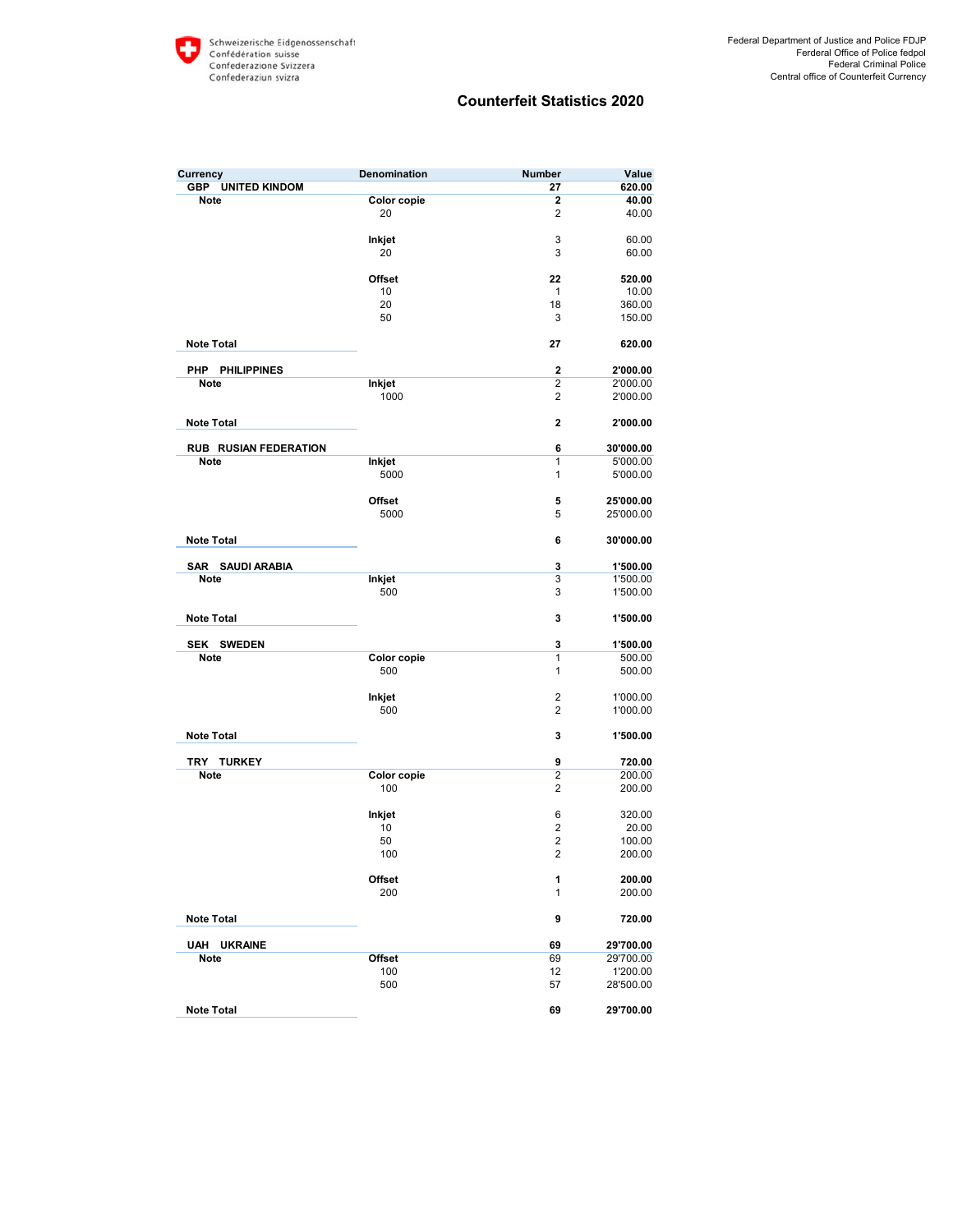| Currency                                  | <b>Denomination</b> | <b>Number</b>           | Value                 |
|-------------------------------------------|---------------------|-------------------------|-----------------------|
| <b>GBP</b><br><b>UNITED KINDOM</b>        |                     | 27                      | 620.00                |
| Note                                      | Color copie         | 2                       | 40.00                 |
|                                           | 20                  | 2                       | 40.00                 |
|                                           | Inkjet              | 3                       | 60.00                 |
|                                           | 20                  | 3                       | 60.00                 |
|                                           |                     |                         |                       |
|                                           | <b>Offset</b>       | 22                      | 520.00                |
|                                           | 10                  | 1                       | 10.00                 |
|                                           | 20                  | 18                      | 360.00                |
|                                           | 50                  | 3                       | 150.00                |
| <b>Note Total</b>                         |                     |                         |                       |
|                                           |                     | 27                      | 620.00                |
| PHP<br><b>PHILIPPINES</b>                 |                     | $\overline{\mathbf{c}}$ | 2'000.00              |
| Note                                      | Inkjet              | $\overline{2}$          | 2'000.00              |
|                                           | 1000                | 2                       | 2'000.00              |
|                                           |                     |                         |                       |
| <b>Note Total</b>                         |                     | 2                       | 2'000.00              |
|                                           |                     |                         |                       |
| <b>RUB RUSIAN FEDERATION</b><br>Note      |                     | 6<br>1                  | 30'000.00<br>5'000.00 |
|                                           | Inkjet<br>5000      | 1                       | 5'000.00              |
|                                           |                     |                         |                       |
|                                           | <b>Offset</b>       | 5                       | 25'000.00             |
|                                           | 5000                | 5                       | 25'000.00             |
|                                           |                     |                         |                       |
| <b>Note Total</b>                         |                     | 6                       | 30'000.00             |
|                                           |                     |                         |                       |
| <b>SAUDI ARABIA</b><br>SAR<br><b>Note</b> |                     | 3<br>3                  | 1'500.00<br>1'500.00  |
|                                           | Inkjet<br>500       | 3                       | 1'500.00              |
|                                           |                     |                         |                       |
| <b>Note Total</b>                         |                     | 3                       | 1'500.00              |
|                                           |                     |                         |                       |
| <b>SWEDEN</b><br>SEK                      |                     | 3                       | 1'500.00              |
| <b>Note</b>                               | Color copie         | 1                       | 500.00                |
|                                           | 500                 | 1                       | 500.00                |
|                                           | Inkjet              | $\overline{2}$          | 1'000.00              |
|                                           | 500                 | 2                       | 1'000.00              |
|                                           |                     |                         |                       |
| <b>Note Total</b>                         |                     | 3                       | 1'500.00              |
|                                           |                     |                         |                       |
| TRY<br><b>TURKEY</b>                      |                     | 9                       | 720.00                |
| <b>Note</b>                               | Color copie         | $\overline{2}$          | 200.00                |
|                                           | 100                 | 2                       | 200.00                |
|                                           |                     | 6                       | 320.00                |
|                                           | Inkjet<br>10        | $\overline{2}$          | 20.00                 |
|                                           | 50                  | $\overline{2}$          | 100.00                |
|                                           | 100                 | $\overline{2}$          | 200.00                |
|                                           |                     |                         |                       |
|                                           | Offset              | 1                       | 200.00                |
|                                           | 200                 | 1                       | 200.00                |
|                                           |                     |                         |                       |
| <b>Note Total</b>                         |                     | 9                       | 720.00                |
| <b>UAH</b><br><b>UKRAINE</b>              |                     | 69                      | 29'700.00             |
| Note                                      | Offset              | 69                      | 29'700.00             |
|                                           | 100                 | 12                      | 1'200.00              |
|                                           | 500                 | 57                      | 28'500.00             |
|                                           |                     |                         |                       |
| <b>Note Total</b>                         |                     | 69                      | 29'700.00             |